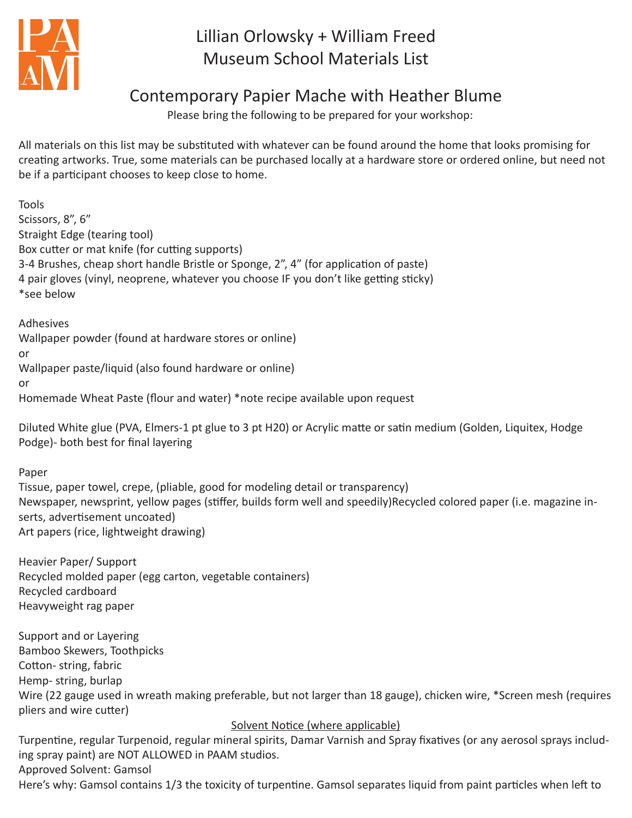

# Lillian Orlowsky + William Freed Museum School Materials List

## Contemporary Papier Mache with Heather Blume

Please bring the following to be prepared for your workshop:

All materials on this list may be substituted with whatever can be found around the home that looks promising for creating artworks. True, some materials can be purchased locally at a hardware store or ordered online, but need not be if a participant chooses to keep close to home.

Tools Scissors, 8", 6" Straight Edge (tearing tool) Box cutter or mat knife (for cutting supports) 3-4 Brushes, cheap short handle Bristle or Sponge, 2", 4" (for application of paste) 4 pair gloves (vinyl, neoprene, whatever you choose IF you don't like getting sticky) \*see below

Adhesives Wallpaper powder (found at hardware stores or online) or Wallpaper paste/liquid (also found hardware or online) or Homemade Wheat Paste (flour and water) \*note recipe available upon request

Diluted White glue (PVA, Elmers-1 pt glue to 3 pt H20) or Acrylic matte or satin medium (Golden, Liquitex, Hodge Podge)- both best for final layering

Paper

Tissue, paper towel, crepe, (pliable, good for modeling detail or transparency) Newspaper, newsprint, yellow pages (stiffer, builds form well and speedily)Recycled colored paper (i.e. magazine inserts, advertisement uncoated) Art papers (rice, lightweight drawing)

Heavier Paper/ Support Recycled molded paper (egg carton, vegetable containers) Recycled cardboard Heavyweight rag paper

Support and or Layering Bamboo Skewers, Toothpicks Cotton- string, fabric Hemp- string, burlap Wire (22 gauge used in wreath making preferable, but not larger than 18 gauge), chicken wire, \*Screen mesh (requires pliers and wire cutter)

### Solvent Notice (where applicable)

Turpentine, regular Turpenoid, regular mineral spirits, Damar Varnish and Spray fixatives (or any aerosol sprays including spray paint) are NOT ALLOWED in PAAM studios. Approved Solvent: Gamsol

Here's why: Gamsol contains 1/3 the toxicity of turpentine. Gamsol separates liquid from paint particles when left to